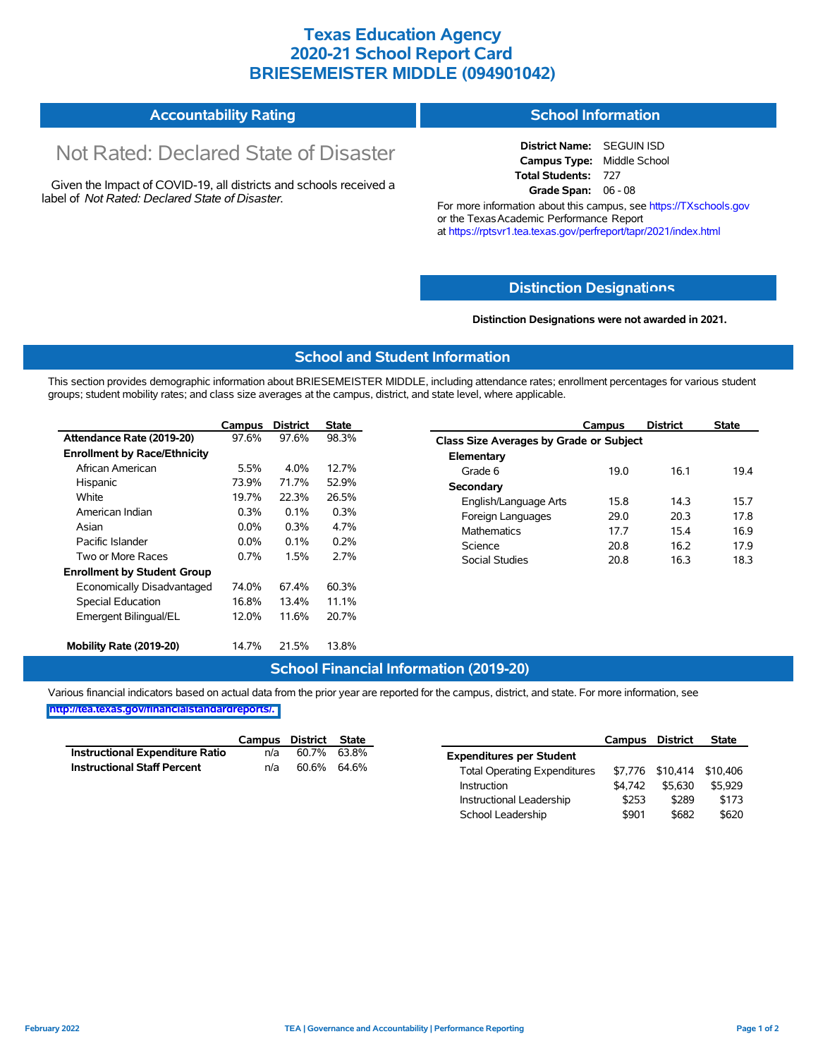## **Texas Education Agency 2020-21 School Report Card BRIESEMEISTER MIDDLE (094901042)**

#### **Accountability Rating School Information**

# Not Rated: Declared State of Disaster

Given the Impact of COVID-19, all districts and schools received a label of *Not Rated: Declared State of Disaster.*

**District Name:** SEGUIN ISD **Campus Type:** Middle School **Total Students:** 727 **Grade Span:** 06 - 08

For more information about this campus, see https://TXschools.gov or the Texas Academic Performance Report at https://rptsvr1.tea.texas.gov/perfreport/tapr/2021/index.html

#### **Distinction Designat[ions](https://TXschools.gov)**

**Distinction Designations were not awarded in 2021.**

School Leadership  $$901$  \$682 \$620

#### **School and Student Information**

This section provides demographic information about BRIESEMEISTER MIDDLE, including attendance rates; enrollment percentages for various student groups; student mobility rates; and class size averages at the campus, district, and state level, where applicable.

|                                     | Campus                  | <b>District</b> | <b>State</b>       | Campus                |                                         | <b>District</b> | <b>State</b> |  |  |  |
|-------------------------------------|-------------------------|-----------------|--------------------|-----------------------|-----------------------------------------|-----------------|--------------|--|--|--|
| Attendance Rate (2019-20)           | 97.6%                   | 97.6%           | 98.3%              |                       | Class Size Averages by Grade or Subject |                 |              |  |  |  |
| <b>Enrollment by Race/Ethnicity</b> |                         |                 |                    | Elementary            |                                         |                 |              |  |  |  |
| African American                    | 5.5%                    | 4.0%            | 12.7%              | Grade 6               | 19.0                                    | 16.1            | 19.4         |  |  |  |
| Hispanic                            | 73.9%                   | 71.7%           | 52.9%              | Secondary             |                                         |                 |              |  |  |  |
| White                               | 19.7%                   | 22.3%           | 26.5%              | English/Language Arts | 15.8                                    | 14.3            | 15.7         |  |  |  |
| American Indian                     | 0.3%                    | 0.1%            | 0.3%               | Foreign Languages     | 29.0                                    | 20.3            | 17.8         |  |  |  |
| Asian                               | 0.3%<br>$0.0\%$<br>4.7% |                 | <b>Mathematics</b> | 17.7                  | 15.4                                    | 16.9            |              |  |  |  |
| Pacific Islander                    | $0.0\%$                 | 0.1%            | 0.2%               | Science               | 20.8                                    | 16.2            | 17.9         |  |  |  |
| Two or More Races                   | 0.7%                    | 1.5%            | 2.7%               | Social Studies        | 20.8                                    | 16.3            | 18.3         |  |  |  |
| <b>Enrollment by Student Group</b>  |                         |                 |                    |                       |                                         |                 |              |  |  |  |
| Economically Disadvantaged          | 74.0%                   | 67.4%           | 60.3%              |                       |                                         |                 |              |  |  |  |
| Special Education                   | 16.8%                   | 13.4%           | 11.1%              |                       |                                         |                 |              |  |  |  |
| Emergent Bilingual/EL               | 12.0%                   | 11.6%           | 20.7%              |                       |                                         |                 |              |  |  |  |
| Mobility Rate (2019-20)             | 14.7%                   | 21.5%           | 13.8%              |                       |                                         |                 |              |  |  |  |

#### **School Financial Information (2019-20)**

Various financial indicators based on actual data from the prior year are reported for the campus, district, and state. For more information, see

**[http://tea.texas.gov/financialstandardreports/.](http://tea.texas.gov/financialstandardreports/)**

|                                        | Campus | District | <b>State</b> |                                     | <b>Campus</b> | <b>District</b>  | <b>State</b> |
|----------------------------------------|--------|----------|--------------|-------------------------------------|---------------|------------------|--------------|
| <b>Instructional Expenditure Ratio</b> | n/a    | 60.7%    | 63.8%        | <b>Expenditures per Student</b>     |               |                  |              |
| <b>Instructional Staff Percent</b>     | n/a    | 60.6%    | 64.6%        | <b>Total Operating Expenditures</b> |               | \$7,776 \$10.414 | \$10.406     |
|                                        |        |          |              | Instruction                         | \$4.742       | \$5.630          | \$5,929      |
|                                        |        |          |              | Instructional Leadership            | \$253         | \$289            | \$173        |